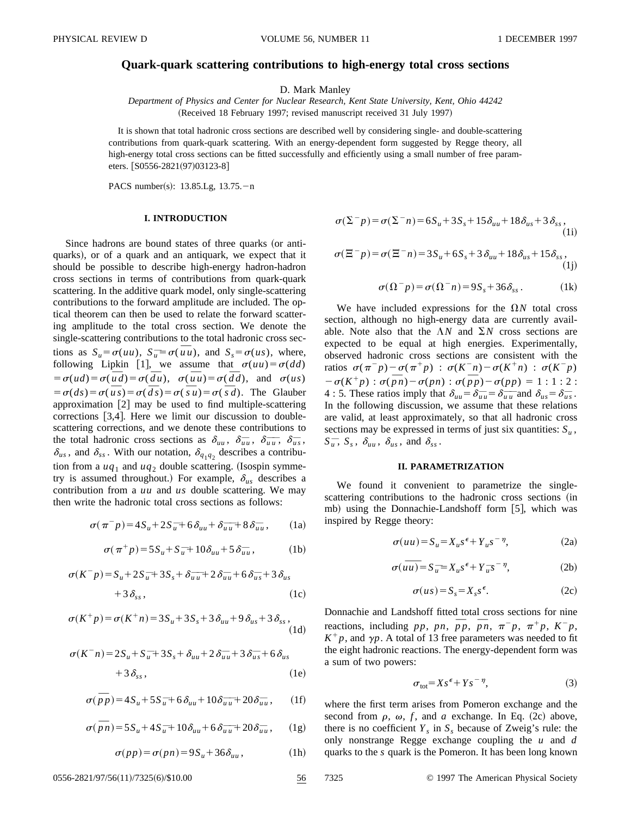# **Quark-quark scattering contributions to high-energy total cross sections**

D. Mark Manley

*Department of Physics and Center for Nuclear Research, Kent State University, Kent, Ohio 44242* (Received 18 February 1997; revised manuscript received 31 July 1997)

It is shown that total hadronic cross sections are described well by considering single- and double-scattering contributions from quark-quark scattering. With an energy-dependent form suggested by Regge theory, all high-energy total cross sections can be fitted successfully and efficiently using a small number of free parameters. [S0556-2821(97)03123-8]

PACS number(s):  $13.85.Lg$ ,  $13.75.-n$ 

## **I. INTRODUCTION**

Since hadrons are bound states of three quarks (or antiquarks), or of a quark and an antiquark, we expect that it should be possible to describe high-energy hadron-hadron cross sections in terms of contributions from quark-quark scattering. In the additive quark model, only single-scattering contributions to the forward amplitude are included. The optical theorem can then be used to relate the forward scattering amplitude to the total cross section. We denote the single-scattering contributions to the total hadronic cross sections as  $S_u = \sigma(uu)$ ,  $S_u = \sigma(\overline{u}u)$ , and  $S_s = \sigma(us)$ , where, following Lipkin [1], we assume that  $\sigma(uu) = \sigma(dd)$ following Lipkin [1], we assume that  $\sigma(uu) = \sigma(aa)$ <br> $= \sigma(ud) = \sigma(\overline{d}u) = \sigma(\overline{d}u)$ ,  $\sigma(\overline{u}u) = \sigma(\overline{d}d)$ , and  $\sigma(us)$  $\sigma(ud) = \sigma(ud) = \sigma(au)$ ,  $\sigma(uu) = \sigma(au)$ , and  $\sigma(us) = \sigma(d\bar{s}) = \sigma(\bar{ds}) = \sigma(\bar{ds}) = \sigma(\bar{s}) = \sigma(\bar{s}u) = \sigma(\bar{s}d)$ . The Glauber approximation  $\lceil 2 \rceil$  may be used to find multiple-scattering corrections  $[3,4]$ . Here we limit our discussion to doublescattering corrections, and we denote these contributions to the total hadronic cross sections as  $\delta_{uu}$ ,  $\delta_{uu}$ ,  $\delta_{uu}$ ,  $\delta_{uu}$ ,  $\delta_{us}$ ,  $\delta_{us}$ , and  $\delta_{ss}$ . With our notation,  $\delta_{q_1q_2}$  describes a contribution from a  $uq_1$  and  $uq_2$  double scattering. (Isospin symmetry is assumed throughout.) For example,  $\delta_{us}$  describes a contribution from a *uu* and *us* double scattering. We may then write the hadronic total cross sections as follows:

$$
\sigma(\pi^- p) = 4S_u + 2S_u + 6\delta_{uu} + \delta_{uu}^- + 8\delta_{uu}^-, \qquad (1a)
$$

$$
\sigma(\pi^+p) = 5S_u + S_u^- + 10\delta_{uu} + 5\delta_{uu}^-, \tag{1b}
$$

$$
\sigma(K^- p) = S_u + 2S_u + 3S_s + \delta_{uu} - 2\delta_{uu} + 6\delta_{us} - 3\delta_{us} + 3\delta_{ss},
$$
\n(1c)

$$
\sigma(K^+p) = \sigma(K^+n) = 3S_u + 3S_s + 3\delta_{uu} + 9\delta_{us} + 3\delta_{ss},
$$
\n(1d)

$$
\sigma(K^-n) = 2S_u + S_u + 3S_s + \delta_{uu} + 2\delta_{uu} + 3\delta_{us} + 6\delta_{us}
$$
  
+3\delta\_{ss}, (1e)

$$
\sigma(\bar{p}p) = 4S_u + 5S_u + 6\delta_{uu} + 10\delta_{uu} - 20\delta_{uu} , \qquad (1f)
$$

$$
\sigma(\bar{p}n) = 5S_u + 4S_u + 10\delta_{uu} + 6\delta_{uu} - 20\delta_{uu} , \quad (1g)
$$

$$
\sigma(pp) = \sigma(pn) = 9S_u + 36\delta_{uu}, \qquad (1h)
$$

$$
\sigma(\Sigma^- p) = \sigma(\Sigma^- n) = 6S_u + 3S_s + 15\delta_{uu} + 18\delta_{us} + 3\delta_{ss},
$$
\n(1i)

$$
\sigma(\Xi^- p) = \sigma(\Xi^- n) = 3S_u + 6S_s + 3\delta_{uu} + 18\delta_{us} + 15\delta_{ss},
$$
\n(1j)

$$
\sigma(\Omega^- p) = \sigma(\Omega^- n) = 9S_s + 36\delta_{ss}.
$$
 (1k)

We have included expressions for the  $\Omega N$  total cross section, although no high-energy data are currently available. Note also that the  $\Lambda N$  and  $\Sigma N$  cross sections are expected to be equal at high energies. Experimentally, observed hadronic cross sections are consistent with the ratios  $\sigma(\pi^-p) - \sigma(\pi^+p)$  :  $\sigma(K^-n) - \sigma(K^+n)$  :  $\sigma(K^-p)$ ratios  $\sigma(\pi)p-\sigma(\pi p)$ :  $\sigma(K \ n)-\sigma(K \ n)$ :  $\sigma(K p)$ <br>  $-\sigma(K^+p)$ :  $\sigma(\overline{p}n)-\sigma(pn)$ :  $\sigma(\overline{p}p)-\sigma(pp) = 1:1:2:$ 4 : 5. These ratios imply that  $\delta_{uu} = \delta_{uu} - \delta_{uu} - \delta_{uu}$  and  $\delta_{us} = \delta_{us}$ . In the following discussion, we assume that these relations are valid, at least approximately, so that all hadronic cross sections may be expressed in terms of just six quantities:  $S_u$ ,  $S_{\overline{u}}$ ,  $S_{\overline{s}}$ ,  $\delta_{uu}$ ,  $\delta_{us}$ , and  $\delta_{ss}$ .

#### **II. PARAMETRIZATION**

We found it convenient to parametrize the singlescattering contributions to the hadronic cross sections (in mb) using the Donnachie-Landshoff form  $[5]$ , which was inspired by Regge theory:

$$
\sigma(uu) = S_u = X_u s^{\epsilon} + Y_u s^{-\eta}, \qquad (2a)
$$

$$
\sigma(u\overline{u}) = S_{\overline{u}} = X_u s^{\epsilon} + Y_{\overline{u}} s^{-\eta},
$$
 (2b)

$$
\sigma(us) = S_s = X_s s^{\epsilon}.
$$
 (2c)

Donnachie and Landshoff fitted total cross sections for nine Frequencies and Landshoft fitted total cross sections for fine reactions, including *pp*, *pn*,  $\overline{p}p$ ,  $\overline{p}n$ ,  $\overline{\pi}^{-}p$ ,  $\pi^{+}p$ ,  $K^{-}p$ ,  $K^+p$ , and  $\gamma p$ . A total of 13 free parameters was needed to fit the eight hadronic reactions. The energy-dependent form was a sum of two powers:

$$
\sigma_{\text{tot}} = X s^{\epsilon} + Y s^{-\eta},\tag{3}
$$

where the first term arises from Pomeron exchange and the second from  $\rho$ ,  $\omega$ ,  $f$ , and  $a$  exchange. In Eq. (2c) above, there is no coefficient  $Y_s$  in  $S_s$  because of Zweig's rule: the only nonstrange Regge exchange coupling the *u* and *d* quarks to the *s* quark is the Pomeron. It has been long known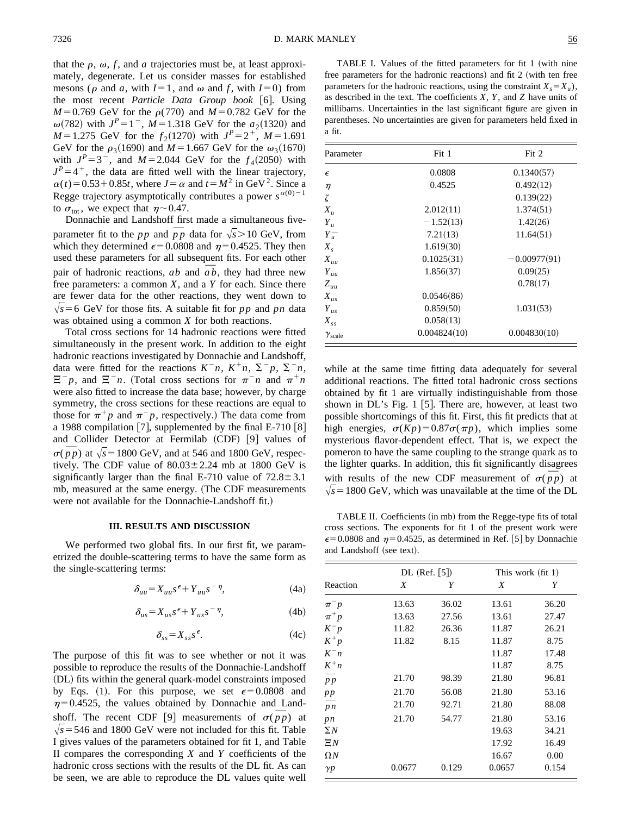that the  $\rho$ ,  $\omega$ , *f*, and *a* trajectories must be, at least approximately, degenerate. Let us consider masses for established mesons ( $\rho$  and  $a$ , with  $I=1$ , and  $\omega$  and  $f$ , with  $I=0$ ) from the most recent *Particle Data Group book* [6]. Using *M*=0.769 GeV for the  $\rho$ (770) and *M* = 0.782 GeV for the  $\omega(782)$  with  $J^P=1^-$ ,  $M=1.318$  GeV for the  $a_2(1320)$  and *M* = 1.275 GeV for the  $f_2(1270)$  with  $J^P = 2^+$ , *M* = 1.691 GeV for the  $\rho_3(1690)$  and  $M = 1.667$  GeV for the  $\omega_3(1670)$ with  $J^P = 3^-$ , and  $M = 2.044$  GeV for the  $f_4(2050)$  with  $J<sup>P</sup>=4<sup>+</sup>$ , the data are fitted well with the linear trajectory,  $\alpha(t) = 0.53 + 0.85t$ , where  $J = \alpha$  and  $t = M^2$  in GeV<sup>2</sup>. Since a Regge trajectory asymptotically contributes a power  $s^{\alpha(0)-1}$ to  $\sigma_{\text{tot}}$ , we expect that  $\eta$  ~ 0.47.

Donnachie and Landshoff first made a simultaneous fivebonnache and Landshort first made a simultaneous live-<br>parameter fit to the *pp* and  $\overline{p}p$  data for  $\sqrt{s}$  > 10 GeV, from which they determined  $\epsilon$ =0.0808 and  $\eta$ =0.4525. They then used these parameters for all subsequent fits. For each other used these parameters for all subsequent fits. For each other<br>pair of hadronic reactions,  $ab$  and  $\overline{ab}$ , they had three new free parameters: a common *X*, and a *Y* for each. Since there are fewer data for the other reactions, they went down to  $\sqrt{s}$ =6 GeV for those fits. A suitable fit for *pp* and *pn* data was obtained using a common *X* for both reactions.

Total cross sections for 14 hadronic reactions were fitted simultaneously in the present work. In addition to the eight hadronic reactions investigated by Donnachie and Landshoff, data were fitted for the reactions  $K^{-}n$ ,  $K^{+}n$ ,  $\Sigma^{-}p$ ,  $\Sigma^{-}n$ ,  $\Xi^- p$ , and  $\Xi^- n$ . (Total cross sections for  $\pi^- n$  and  $\pi^+ n$ were also fitted to increase the data base; however, by charge symmetry, the cross sections for these reactions are equal to those for  $\pi^+p$  and  $\pi^-p$ , respectively.) The data come from a 1988 compilation [7], supplemented by the final E-710  $[8]$ and Collider Detector at Fermilab  $(CDF)$  [9] values of and Coinder Detector at Ferminab (CDF) [9] values of  $\sigma(\bar{p}p)$  at  $\sqrt{s}$  = 1800 GeV, and at 546 and 1800 GeV, respectively. The CDF value of  $80.03 \pm 2.24$  mb at 1800 GeV is significantly larger than the final E-710 value of  $72.8 \pm 3.1$ mb, measured at the same energy. (The CDF measurements were not available for the Donnachie-Landshoff fit.)

#### **III. RESULTS AND DISCUSSION**

We performed two global fits. In our first fit, we parametrized the double-scattering terms to have the same form as the single-scattering terms:

$$
\delta_{uu} = X_{uu} s^{\epsilon} + Y_{uu} s^{-\eta}, \tag{4a}
$$

$$
\delta_{us} = X_{us} s^{\epsilon} + Y_{us} s^{-\eta}, \tag{4b}
$$

$$
\delta_{ss} = X_{ss} s^{\epsilon}.
$$
 (4c)

The purpose of this fit was to see whether or not it was possible to reproduce the results of the Donnachie-Landshoff (DL) fits within the general quark-model constraints imposed by Eqs. (1). For this purpose, we set  $\epsilon$ =0.0808 and  $\eta=0.4525$ , the values obtained by Donnachie and Land- $\eta = 0.4525$ , the values obtained by Donnache and Land-<br>shoff. The recent CDF [9] measurements of  $\sigma(\bar{p}p)$  at  $\sqrt{s}$  = 546 and 1800 GeV were not included for this fit. Table I gives values of the parameters obtained for fit 1, and Table II compares the corresponding *X* and *Y* coefficients of the hadronic cross sections with the results of the DL fit. As can be seen, we are able to reproduce the DL values quite well

TABLE I. Values of the fitted parameters for fit 1 (with nine free parameters for the hadronic reactions) and fit  $2$  (with ten free parameters for the hadronic reactions, using the constraint  $X_s = X_u$ ), as described in the text. The coefficients *X*, *Y*, and *Z* have units of millibarns. Uncertainties in the last significant figure are given in parentheses. No uncertainties are given for parameters held fixed in a fit.

| Parameter            | Fit 1        | Fit 2          |  |
|----------------------|--------------|----------------|--|
| $\epsilon$           | 0.0808       | 0.1340(57)     |  |
| $\eta$               | 0.4525       | 0.492(12)      |  |
| ζ                    |              | 0.139(22)      |  |
| $X_{\mu}$            | 2.012(11)    | 1.374(51)      |  |
| $Y_u$                | $-1.52(13)$  | 1.42(26)       |  |
| $Y_u^-$              | 7.21(13)     | 11.64(51)      |  |
| $X_{s}$              | 1.619(30)    |                |  |
| $X_{uu}$             | 0.1025(31)   | $-0.00977(91)$ |  |
| $Y_{uu}$             | 1.856(37)    | 0.09(25)       |  |
| $Z_{uu}$             |              | 0.78(17)       |  |
| $X_{us}$             | 0.0546(86)   |                |  |
| $Y_{us}$             | 0.859(50)    | 1.031(53)      |  |
| $X_{ss}$             | 0.058(13)    |                |  |
| $\gamma_{\rm scale}$ | 0.004824(10) | 0.004830(10)   |  |

while at the same time fitting data adequately for several additional reactions. The fitted total hadronic cross sections obtained by fit 1 are virtually indistinguishable from those shown in  $DL$ 's Fig. 1 [5]. There are, however, at least two possible shortcomings of this fit. First, this fit predicts that at high energies,  $\sigma(Kp) = 0.87\sigma(\pi p)$ , which implies some mysterious flavor-dependent effect. That is, we expect the pomeron to have the same coupling to the strange quark as to the lighter quarks. In addition, this fit significantly disagrees the ngnier quarks. In addition, this it significantly disagrees<br>with results of the new CDF measurement of  $\sigma(\bar{p}p)$  at  $\sqrt{s}$  = 1800 GeV, which was unavailable at the time of the DL

TABLE II. Coefficients (in mb) from the Regge-type fits of total cross sections. The exponents for fit 1 of the present work were  $\epsilon$ =0.0808 and  $\eta$ =0.4525, as determined in Ref. [5] by Donnachie and Landshoff (see text).

|                 | $DL$ (Ref. [5]) |       | This work $(\text{fit} 1)$ |       |
|-----------------|-----------------|-------|----------------------------|-------|
| Reaction        | X               | Y     | X                          | Y     |
| $\pi$ p         | 13.63           | 36.02 | 13.61                      | 36.20 |
| $\pi^+ p$       | 13.63           | 27.56 | 13.61                      | 27.47 |
| $K^- p$         | 11.82           | 26.36 | 11.87                      | 26.21 |
| $K^+p$          | 11.82           | 8.15  | 11.87                      | 8.75  |
| $K^-n$          |                 |       | 11.87                      | 17.48 |
| $K^+n$          |                 |       | 11.87                      | 8.75  |
| p p             | 21.70           | 98.39 | 21.80                      | 96.81 |
| pp              | 21.70           | 56.08 | 21.80                      | 53.16 |
| $\overline{p}n$ | 21.70           | 92.71 | 21.80                      | 88.08 |
| $p_{n}$         | 21.70           | 54.77 | 21.80                      | 53.16 |
| $\Sigma N$      |                 |       | 19.63                      | 34.21 |
| $E_N$           |                 |       | 17.92                      | 16.49 |
| $\Omega N$      |                 |       | 16.67                      | 0.00  |
| $\gamma p$      | 0.0677          | 0.129 | 0.0657                     | 0.154 |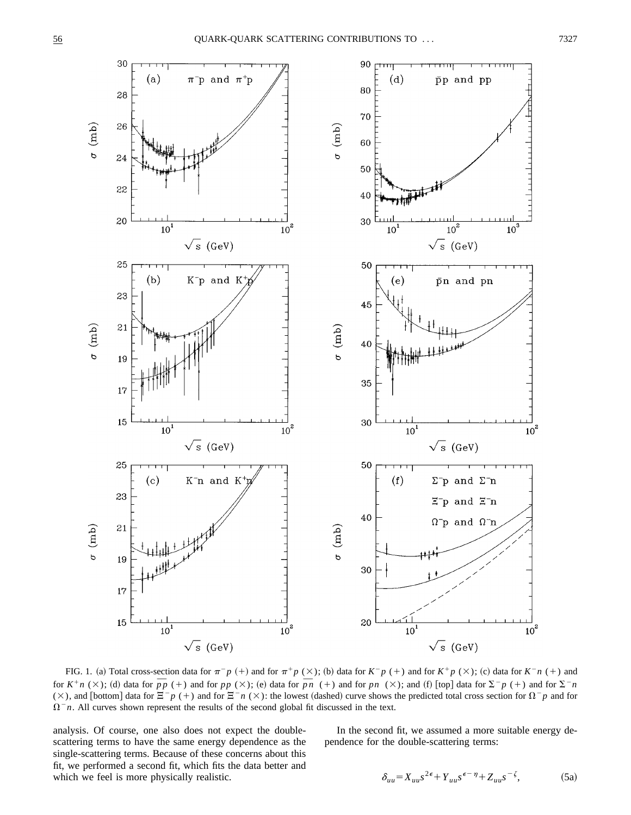

FIG. 1. (a) Total cross-section data for  $\pi^- p$  (+) and for  $\pi^+ p$  ( $\times$ ); (b) data for  $K^- p$  (+) and for  $K^+ p$  ( $\times$ ); (c) data for  $K^- n$  (+) and **f**(**x**); (a) for *K*  $n \in \mathbb{R}$  *n* (+ ) and for  $\pi$  *p* (+ ) and for  $\pi$  *p* ( $\times$ ); (b) data for *K*  $p$  (+ ) and for *K*  $p$  ( $\times$ ); (c) data for *K*  $n$  (+ ) and for *N*  $n$  (+ ) and for  $\pi$  *n* (+ ) and for  $p$  ( $\times$ ), and [bottom] data for  $\Xi^- p$  (+) and for  $\Xi^- n$  ( $\times$ ): the lowest (dashed) curve shows the predicted total cross section for  $\Omega^- p$  and for  $\Omega^- n$ . All curves shown represent the results of the second global fit discussed in the text.

analysis. Of course, one also does not expect the doublescattering terms to have the same energy dependence as the single-scattering terms. Because of these concerns about this fit, we performed a second fit, which fits the data better and which we feel is more physically realistic.

In the second fit, we assumed a more suitable energy dependence for the double-scattering terms:

$$
\delta_{uu} = X_{uu} s^{2\epsilon} + Y_{uu} s^{\epsilon - \eta} + Z_{uu} s^{-\zeta},\tag{5a}
$$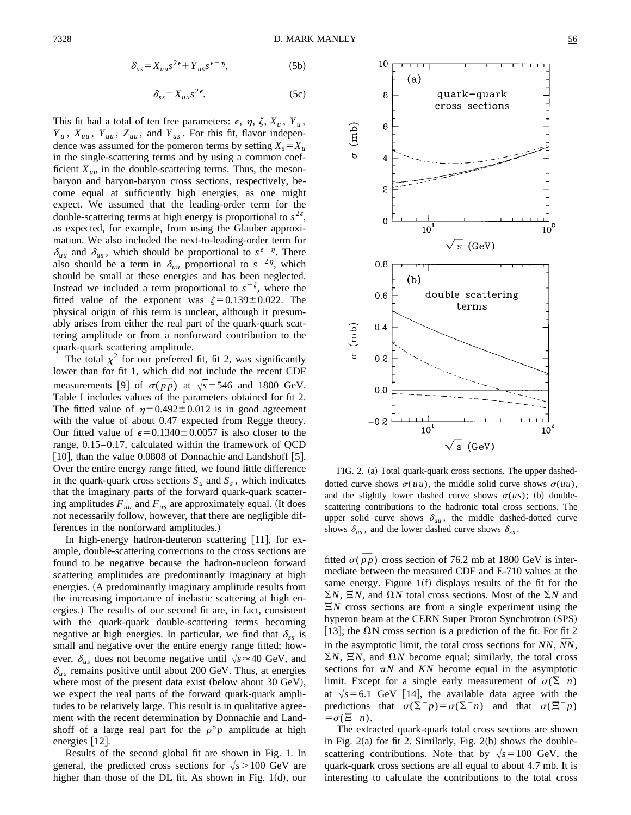$$
\delta_{us} = X_{uu} s^{2\epsilon} + Y_{us} s^{\epsilon - \eta},\tag{5b}
$$

$$
\delta_{ss} = X_{uu} s^{2\epsilon}.
$$
 (5c)

This fit had a total of ten free parameters:  $\epsilon$ ,  $\eta$ ,  $\zeta$ ,  $X_u$ ,  $Y_u$ ,  $Y_u^-$ ,  $X_{uu}$ ,  $Y_{uu}$ ,  $Z_{uu}$ , and  $Y_{us}$ . For this fit, flavor independence was assumed for the pomeron terms by setting  $X_s = X_u$ in the single-scattering terms and by using a common coefficient  $X_{uu}$  in the double-scattering terms. Thus, the mesonbaryon and baryon-baryon cross sections, respectively, become equal at sufficiently high energies, as one might expect. We assumed that the leading-order term for the double-scattering terms at high energy is proportional to  $s^{2\epsilon}$ , as expected, for example, from using the Glauber approximation. We also included the next-to-leading-order term for  $\delta_{uu}$  and  $\delta_{us}$ , which should be proportional to  $s^{\epsilon-\eta}$ . There also should be a term in  $\delta_{uu}$  proportional to  $s^{-2\eta}$ , which should be small at these energies and has been neglected. Instead we included a term proportional to  $s^{-\zeta}$ , where the fitted value of the exponent was  $\zeta = 0.139 \pm 0.022$ . The physical origin of this term is unclear, although it presumably arises from either the real part of the quark-quark scattering amplitude or from a nonforward contribution to the quark-quark scattering amplitude.

The total  $\chi^2$  for our preferred fit, fit 2, was significantly lower than for fit 1, which did not include the recent CDF nower than for fit 1, which did not include the recent CDF<br>measurements [9] of  $\sigma(p p)$  at  $\sqrt{s}$ =546 and 1800 GeV. Table I includes values of the parameters obtained for fit 2. The fitted value of  $\eta=0.492\pm0.012$  is in good agreement with the value of about 0.47 expected from Regge theory. Our fitted value of  $\epsilon$ =0.1340±0.0057 is also closer to the range, 0.15–0.17, calculated within the framework of QCD [10], than the value  $0.0808$  of Donnachie and Landshoff [5]. Over the entire energy range fitted, we found little difference in the quark-quark cross sections  $S_u$  and  $S_s$ , which indicates that the imaginary parts of the forward quark-quark scattering amplitudes  $F_{uu}$  and  $F_{us}$  are approximately equal. (It does not necessarily follow, however, that there are negligible differences in the nonforward amplitudes.)

In high-energy hadron-deuteron scattering  $[11]$ , for example, double-scattering corrections to the cross sections are found to be negative because the hadron-nucleon forward scattering amplitudes are predominantly imaginary at high energies. (A predominantly imaginary amplitude results from the increasing importance of inelastic scattering at high energies.) The results of our second fit are, in fact, consistent with the quark-quark double-scattering terms becoming negative at high energies. In particular, we find that  $\delta_{ss}$  is small and negative over the entire energy range fitted; however,  $\delta_{us}$  does not become negative until  $\sqrt{s} \approx 40$  GeV, and  $\delta_{uu}$  remains positive until about 200 GeV. Thus, at energies where most of the present data exist (below about 30  $GeV$ ), we expect the real parts of the forward quark-quark amplitudes to be relatively large. This result is in qualitative agreement with the recent determination by Donnachie and Landshoff of a large real part for the  $\rho$ °*p* amplitude at high energies  $[12]$ .

Results of the second global fit are shown in Fig. 1. In general, the predicted cross sections for  $\sqrt{s}$  > 100 GeV are higher than those of the DL fit. As shown in Fig.  $1(d)$ , our



FIG. 2. (a) Total quark-quark cross sections. The upper dashed-FIG. 2. (a) Fotal quark-quark cross sections. The upper dashed-<br>dotted curve shows  $\sigma(\overline{u}u)$ , the middle solid curve shows  $\sigma(uu)$ , and the slightly lower dashed curve shows  $\sigma(us)$ ; (b) doublescattering contributions to the hadronic total cross sections. The upper solid curve shows  $\delta_{uu}$ , the middle dashed-dotted curve shows  $\delta_{us}$ , and the lower dashed curve shows  $\delta_{ss}$ .

fitted  $\sigma(\bar{p}p)$  cross section of 76.2 mb at 1800 GeV is intermediate between the measured CDF and E-710 values at the same energy. Figure  $1(f)$  displays results of the fit for the  $\Sigma N$ ,  $\Xi N$ , and  $\Omega N$  total cross sections. Most of the  $\Sigma N$  and  $E/N$  cross sections are from a single experiment using the hyperon beam at the CERN Super Proton Synchrotron (SPS) [13]; the  $\Omega$ N cross section is a prediction of the fit. For fit 2 in the asymptotic limit, the total cross sections for  $NN$ ,  $\overline{N}N$ ,  $\Sigma N$ ,  $\Xi N$ , and  $\Omega N$  become equal; similarly, the total cross sections for  $\pi N$  and  $KN$  become equal in the asymptotic limit. Except for a single early measurement of  $\sigma(\Sigma^- n)$ at  $\sqrt{s}$ =6.1 GeV [14], the available data agree with the predictions that  $\sigma(\Sigma^- p) = \sigma(\Sigma^- n)$  and that  $\sigma(\Xi^- p)$  $=\sigma(\Xi^-n)$ .

The extracted quark-quark total cross sections are shown in Fig.  $2(a)$  for fit 2. Similarly, Fig.  $2(b)$  shows the doublescattering contributions. Note that by  $\sqrt{s}$ =100 GeV, the quark-quark cross sections are all equal to about 4.7 mb. It is interesting to calculate the contributions to the total cross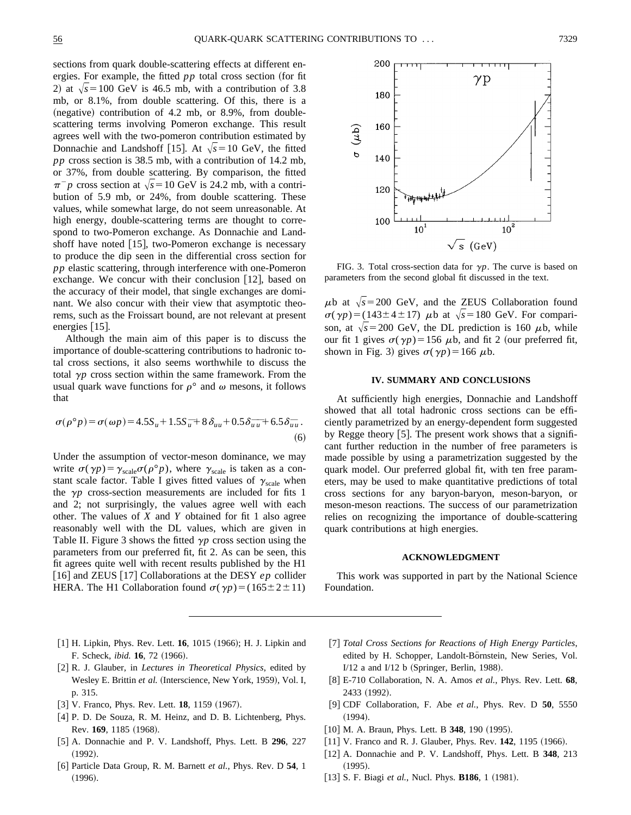sections from quark double-scattering effects at different energies. For example, the fitted  $pp$  total cross section (for fit 2) at  $\sqrt{s}$ =100 GeV is 46.5 mb, with a contribution of 3.8 mb, or 8.1%, from double scattering. Of this, there is a  $(negative)$  contribution of 4.2 mb, or 8.9%, from doublescattering terms involving Pomeron exchange. This result agrees well with the two-pomeron contribution estimated by Donnachie and Landshoff [15]. At  $\sqrt{s}$ =10 GeV, the fitted *pp* cross section is 38.5 mb, with a contribution of 14.2 mb, or 37%, from double scattering. By comparison, the fitted  $\pi^- p$  cross section at  $\sqrt{s}$  = 10 GeV is 24.2 mb, with a contribution of 5.9 mb, or 24%, from double scattering. These values, while somewhat large, do not seem unreasonable. At high energy, double-scattering terms are thought to correspond to two-Pomeron exchange. As Donnachie and Landshoff have noted  $[15]$ , two-Pomeron exchange is necessary to produce the dip seen in the differential cross section for *pp* elastic scattering, through interference with one-Pomeron exchange. We concur with their conclusion  $|12|$ , based on the accuracy of their model, that single exchanges are dominant. We also concur with their view that asymptotic theorems, such as the Froissart bound, are not relevant at present energies  $[15]$ .

Although the main aim of this paper is to discuss the importance of double-scattering contributions to hadronic total cross sections, it also seems worthwhile to discuss the total  $\gamma p$  cross section within the same framework. From the usual quark wave functions for  $\rho^{\circ}$  and  $\omega$  mesons, it follows that

$$
\sigma(\rho^{\circ} p) = \sigma(\omega p) = 4.5S_u + 1.5S_u + 8\delta_{uu} + 0.5\delta_{uu} - 6.5\delta_{uu}.
$$
\n(6)

Under the assumption of vector-meson dominance, we may write  $\sigma(\gamma p) = \gamma_{scale}\sigma(\rho^{\circ}p)$ , where  $\gamma_{scale}$  is taken as a constant scale factor. Table I gives fitted values of  $\gamma_{scale}$  when the  $\gamma p$  cross-section measurements are included for fits 1 and 2; not surprisingly, the values agree well with each other. The values of *X* and *Y* obtained for fit 1 also agree reasonably well with the DL values, which are given in Table II. Figure 3 shows the fitted  $\gamma p$  cross section using the parameters from our preferred fit, fit 2. As can be seen, this fit agrees quite well with recent results published by the H1 [16] and ZEUS [17] Collaborations at the DESY  $ep$  collider HERA. The H1 Collaboration found  $\sigma(\gamma p) = (165 \pm 2 \pm 11)$ 



FIG. 3. Total cross-section data for  $\gamma p$ . The curve is based on parameters from the second global fit discussed in the text.

 $\mu$ b at  $\sqrt{s}$ =200 GeV, and the ZEUS Collaboration found  $\sigma(\gamma p) = (143 \pm 4 \pm 17)$   $\mu$ b at  $\sqrt{s} = 180$  GeV. For comparison, at  $\sqrt{s}$ =200 GeV, the DL prediction is 160  $\mu$ b, while our fit 1 gives  $\sigma(\gamma p) = 156 \mu b$ , and fit 2 (our preferred fit, shown in Fig. 3) gives  $\sigma(\gamma p) = 166 \mu b$ .

### **IV. SUMMARY AND CONCLUSIONS**

At sufficiently high energies, Donnachie and Landshoff showed that all total hadronic cross sections can be efficiently parametrized by an energy-dependent form suggested by Regge theory  $[5]$ . The present work shows that a significant further reduction in the number of free parameters is made possible by using a parametrization suggested by the quark model. Our preferred global fit, with ten free parameters, may be used to make quantitative predictions of total cross sections for any baryon-baryon, meson-baryon, or meson-meson reactions. The success of our parametrization relies on recognizing the importance of double-scattering quark contributions at high energies.

## **ACKNOWLEDGMENT**

This work was supported in part by the National Science Foundation.

- [1] H. Lipkin, Phys. Rev. Lett. **16**, 1015 (1966); H. J. Lipkin and F. Scheck, *ibid.* **16**, 72 (1966).
- [2] R. J. Glauber, in *Lectures in Theoretical Physics*, edited by Wesley E. Brittin et al. (Interscience, New York, 1959), Vol. I, p. 315.
- [3] V. Franco, Phys. Rev. Lett. **18**, 1159 (1967).
- [4] P. D. De Souza, R. M. Heinz, and D. B. Lichtenberg, Phys. Rev. 169, 1185 (1968).
- [5] A. Donnachie and P. V. Landshoff, Phys. Lett. B 296, 227  $(1992).$
- @6# Particle Data Group, R. M. Barnett *et al.*, Phys. Rev. D **54**, 1  $(1996).$
- [7] *Total Cross Sections for Reactions of High Energy Particles*, edited by H. Schopper, Landolt-Börnstein, New Series, Vol. I/12 a and I/12 b (Springer, Berlin, 1988).
- @8# E-710 Collaboration, N. A. Amos *et al.*, Phys. Rev. Lett. **68**, 2433 (1992).
- @9# CDF Collaboration, F. Abe *et al.*, Phys. Rev. D **50**, 5550  $(1994).$
- [10] M. A. Braun, Phys. Lett. B 348, 190 (1995).
- [11] V. Franco and R. J. Glauber, Phys. Rev. 142, 1195 (1966).
- [12] A. Donnachie and P. V. Landshoff, Phys. Lett. B 348, 213  $(1995).$
- [13] S. F. Biagi *et al.*, Nucl. Phys. **B186**, 1 (1981).